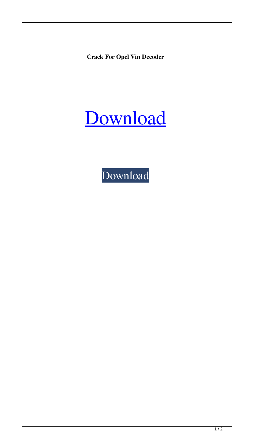**Crack For Opel Vin Decoder**